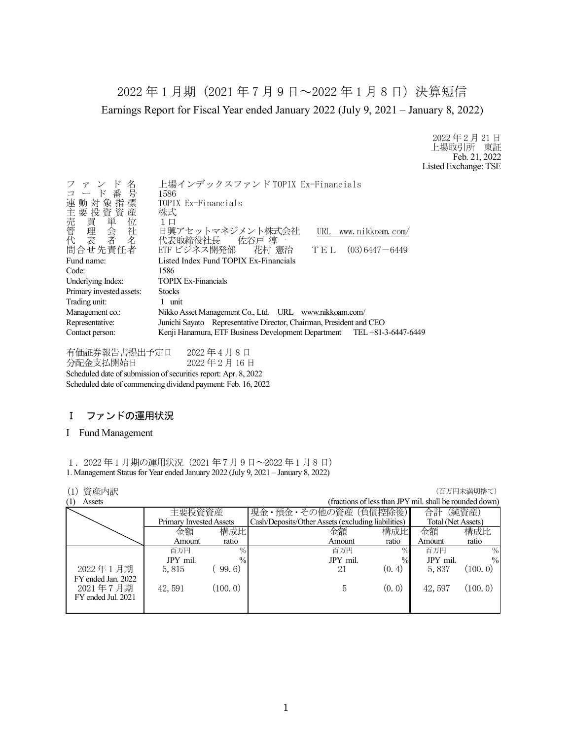2022 年 1 月期(2021 年 7 月 9 日~2022 年 1 月 8 日)決算短信 Earnings Report for Fiscal Year ended January 2022 (July 9, 2021 – January 8, 2022)

> 2022 年 2 月 21 日 上場取引所 東証 Feb. 21, 2022 Listed Exchange: TSE

| ファンド名<br>コード番号<br>連動対象指標<br>H主売管代<br>要買理表<br>要買理表<br>「我看」<br>問合せ先責任者                   | 上場インデックスファンド TOPIX Ex-Financials<br>1586<br>TOPIX Ex-Financials<br>株式<br>1 口<br>日興アセットマネジメント株式会社<br>URL www.nikkoam.com/<br>代表取締役社長 佐谷戸 淳一<br>ETF ビジネス開発部  花村 憲治<br>$(03)$ 6447 $-$ 6449<br>TEL |  |
|----------------------------------------------------------------------------------------|-------------------------------------------------------------------------------------------------------------------------------------------------------------------------------------------------|--|
|                                                                                        |                                                                                                                                                                                                 |  |
| Fund name:                                                                             | Listed Index Fund TOPIX Ex-Financials                                                                                                                                                           |  |
| Code:                                                                                  | 1586                                                                                                                                                                                            |  |
| Underlying Index:                                                                      | <b>TOPIX Ex-Financials</b>                                                                                                                                                                      |  |
| Primary invested assets:                                                               | <b>Stocks</b>                                                                                                                                                                                   |  |
| Trading unit:                                                                          | 1 unit                                                                                                                                                                                          |  |
| Management co.:                                                                        | Nikko Asset Management Co., Ltd. URL www.nikkoam.com/                                                                                                                                           |  |
| Junichi Sayato Representative Director, Chairman, President and CEO<br>Representative: |                                                                                                                                                                                                 |  |
| Contact person:                                                                        | Kenji Hanamura, ETF Business Development Department TEL +81-3-6447-6449                                                                                                                         |  |
|                                                                                        |                                                                                                                                                                                                 |  |

有価証券報告書提出予定日 2022 年 4 月 8 日 分配金支払開始日 2022 年 2 月 16 日 Scheduled date of submission of securities report: Apr. 8, 2022 Scheduled date of commencing dividend payment: Feb. 16, 2022

# Ⅰ ファンドの運用状況

#### I Fund Management

1.2022 年 1 月期の運用状況(2021 年 7 月 9 日~2022 年 1 月 8 日) 1. Management Status for Year ended January 2022 (July 9, 2021 – January 8, 2022)

## (1) 資産内訳 (百万円未満切捨て)

|          |               |                                          |        | 合計                                                                         | (純資産)                                                   |
|----------|---------------|------------------------------------------|--------|----------------------------------------------------------------------------|---------------------------------------------------------|
|          |               |                                          |        | Total (Net Assets)                                                         |                                                         |
| 金額       |               | 金額                                       | 構成比    | 金額                                                                         | 構成比                                                     |
| Amount   | ratio         | Amount                                   | ratio  | Amount                                                                     | ratio                                                   |
| 百万円      | $\%$          | 百万円                                      | $\%$   | 百万円                                                                        | $\%$                                                    |
| JPY mil. | $\frac{0}{0}$ | JPY mil.                                 | $\%$   | JPY mil.                                                                   | $\frac{0}{0}$                                           |
| 5,815    | 99, 6)        | 21                                       | (0, 4) | 5,837                                                                      | (100, 0)                                                |
|          |               |                                          |        |                                                                            |                                                         |
| 42, 591  | (100.0)       | 5                                        | (0, 0) | 42, 597                                                                    | (100.0)                                                 |
|          |               |                                          |        |                                                                            |                                                         |
|          |               |                                          |        |                                                                            |                                                         |
|          |               | 主要投資資産<br>Primary Invested Assets<br>構成比 |        | 現金・預金・その他の資産 (負債控除後)<br>Cash/Deposits/Other Assets (excluding liabilities) | (fractions of less than JPY mil. shall be rounded down) |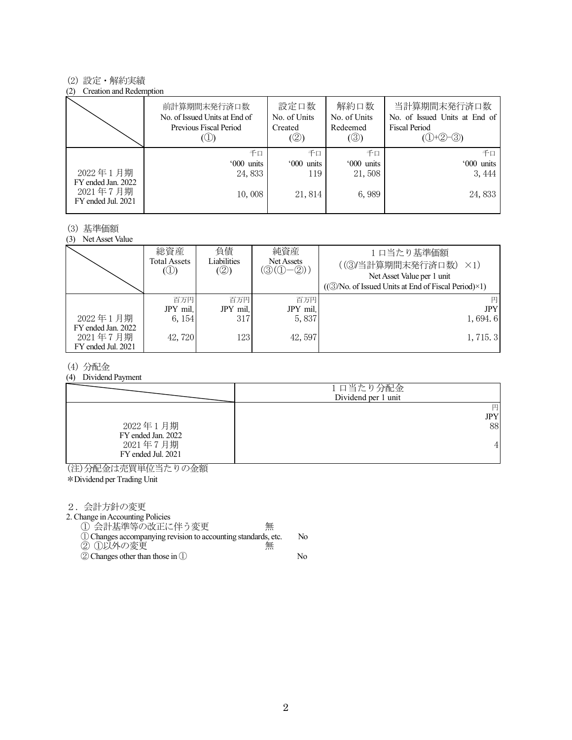#### (2) 設定・解約実績

#### (2) Creation and Redemption

|                                                      | 前計算期間末発行済口数<br>No. of Issued Units at End of<br>Previous Fiscal Period | 設定口数<br>No. of Units<br>Created<br>(②) | 解約口数<br>No. of Units<br>Redeemed<br>$(\circledS)$ | 当計算期間末発行済口数<br>No. of Issued Units at End of<br><b>Fiscal Period</b><br>$(①+②-③)$ |
|------------------------------------------------------|------------------------------------------------------------------------|----------------------------------------|---------------------------------------------------|-----------------------------------------------------------------------------------|
|                                                      | 千口                                                                     | 千口                                     | 千口                                                | 千日                                                                                |
|                                                      | '000 units                                                             | '000 units                             | '000 units                                        | '000 units                                                                        |
| 2022年1月期                                             | 24,833                                                                 | 119                                    | 21,508                                            | 3, 444                                                                            |
| FY ended Jan. 2022<br>2021年7月期<br>FY ended Jul. 2021 | 10,008                                                                 | 21,814                                 | 6,989                                             | 24,833                                                                            |

#### (3) 基準価額

(3) Net Asset Value

|                                                      | 総資産<br>Total Assets<br>$\circledcirc$ | 負債<br>Liabilities<br>(②) | 純資産<br>Net Assets<br>$(\textcircled{3}(\textcircled{1}-\textcircled{2}))$ | 1口当たり基準価額<br>((3)当計算期間末発行済口数)<br>$\times$ 1)<br>Net Asset Value per 1 unit<br>$((\textcircled{3}/No. of Issued Units at End of Fiscal Period)\times 1)$ |
|------------------------------------------------------|---------------------------------------|--------------------------|---------------------------------------------------------------------------|---------------------------------------------------------------------------------------------------------------------------------------------------------|
|                                                      | 百万円                                   | 百万円                      | 百万円                                                                       | 円                                                                                                                                                       |
|                                                      | JPY mil.                              | JPY mil.                 | JPY mil.                                                                  | <b>JPY</b>                                                                                                                                              |
| 2022年1月期                                             | 6, 154                                | 317                      | 5,837                                                                     | 1,694.6                                                                                                                                                 |
| FY ended Jan. 2022<br>2021年7月期<br>FY ended Jul. 2021 | 42,720                                | 123                      | 42,597                                                                    | 1, 715.3                                                                                                                                                |

#### (4) 分配金

(4) Dividend Payment

|                                | 1口当たり分配金<br>Dividend per 1 unit |
|--------------------------------|---------------------------------|
|                                | 円                               |
|                                | JPY                             |
| 2022年1月期<br>FY ended Jan. 2022 | 88                              |
| 2021年7月期<br>FY ended Jul. 2021 | 4                               |

(注)分配金は売買単位当たりの金額

\*Dividend per Trading Unit

2.会計方針の変更

2. Change in Accounting Policies

① 会計基準等の改正に伴う変更 無

- ①Changes accompanying revision to accounting standards, etc. No ② ①以外の変更 無
- ②Changes other than those in ① No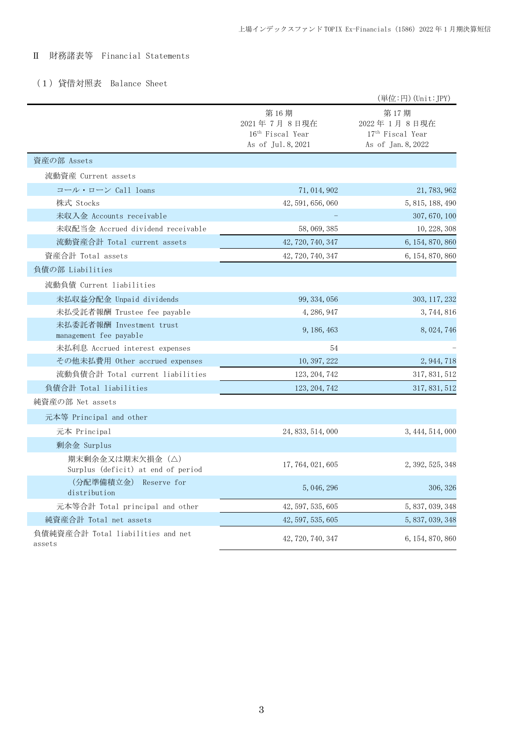# Ⅱ 財務諸表等 Financial Statements

# (1)貸借対照表 Balance Sheet

|                                                        |                                                                           | (単位:円) (Unit: JPY)                                                        |
|--------------------------------------------------------|---------------------------------------------------------------------------|---------------------------------------------------------------------------|
|                                                        | 第16期<br>2021年7月8日現在<br>16 <sup>th</sup> Fiscal Year<br>As of Jul. 8, 2021 | 第17期<br>2022年1月8日現在<br>17 <sup>th</sup> Fiscal Year<br>As of Jan. 8, 2022 |
| 資産の部 Assets                                            |                                                                           |                                                                           |
| 流動資産 Current assets                                    |                                                                           |                                                                           |
| コール・ローン Call loans                                     | 71, 014, 902                                                              | 21, 783, 962                                                              |
| 株式 Stocks                                              | 42, 591, 656, 060                                                         | 5, 815, 188, 490                                                          |
| 未収入金 Accounts receivable                               |                                                                           | 307, 670, 100                                                             |
| 未収配当金 Accrued dividend receivable                      | 58, 069, 385                                                              | 10, 228, 308                                                              |
| 流動資産合計 Total current assets                            | 42, 720, 740, 347                                                         | 6, 154, 870, 860                                                          |
| 資産合計 Total assets                                      | 42, 720, 740, 347                                                         | 6, 154, 870, 860                                                          |
| 負債の部 Liabilities                                       |                                                                           |                                                                           |
| 流動負債 Current liabilities                               |                                                                           |                                                                           |
| 未払収益分配金 Unpaid dividends                               | 99, 334, 056                                                              | 303, 117, 232                                                             |
| 未払受託者報酬 Trustee fee payable                            | 4, 286, 947                                                               | 3, 744, 816                                                               |
| 未払委託者報酬 Investment trust<br>management fee payable     | 9, 186, 463                                                               | 8, 024, 746                                                               |
| 未払利息 Accrued interest expenses                         | 54                                                                        |                                                                           |
| その他未払費用 Other accrued expenses                         | 10, 397, 222                                                              | 2, 944, 718                                                               |
| 流動負債合計 Total current liabilities                       | 123, 204, 742                                                             | 317, 831, 512                                                             |
| 負債合計 Total liabilities                                 | 123, 204, 742                                                             | 317, 831, 512                                                             |
| 純資産の部 Net assets                                       |                                                                           |                                                                           |
| 元本等 Principal and other                                |                                                                           |                                                                           |
| 元本 Principal                                           | 24, 833, 514, 000                                                         | 3, 444, 514, 000                                                          |
| 剰余金 Surplus                                            |                                                                           |                                                                           |
| 期末剰余金又は期末欠損金 (△)<br>Surplus (deficit) at end of period | 17, 764, 021, 605                                                         | 2, 392, 525, 348                                                          |
| (分配準備積立金) Reserve for<br>distribution                  | 5, 046, 296                                                               | 306, 326                                                                  |
| 元本等合計 Total principal and other                        | 42, 597, 535, 605                                                         | 5, 837, 039, 348                                                          |
| 純資産合計 Total net assets                                 | 42, 597, 535, 605                                                         | 5, 837, 039, 348                                                          |
| 負債純資産合計 Total liabilities and net<br>assets            | 42, 720, 740, 347                                                         | 6, 154, 870, 860                                                          |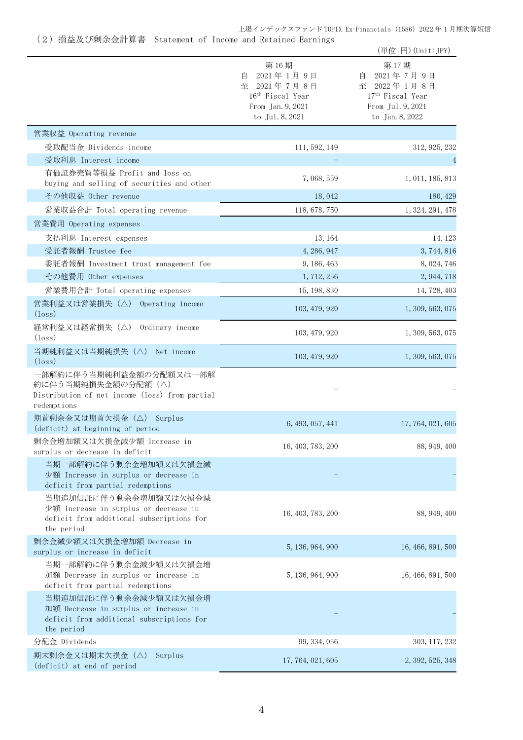## 上場インデックスファンド TOPIX Ex-Financials(1586)2022 年 1 月期決算短信

# (2)損益及び剰余金計算書 Statement of Income and Retained Earnings

|                                                                                                                           |                                                                                                               | (単位:円) (Unit:JPY)                                                                                             |
|---------------------------------------------------------------------------------------------------------------------------|---------------------------------------------------------------------------------------------------------------|---------------------------------------------------------------------------------------------------------------|
|                                                                                                                           | 第16期<br>2021年1月9日<br>自<br>至 2021年7月8日<br>16 <sup>th</sup> Fiscal Year<br>From Jan. 9, 2021<br>to Jul. 8, 2021 | 第17期<br>2021年7月9日<br>目<br>至 2022年1月8日<br>17 <sup>th</sup> Fiscal Year<br>From Jul. 9, 2021<br>to Jan. 8, 2022 |
| 営業収益 Operating revenue                                                                                                    |                                                                                                               |                                                                                                               |
| 受取配当金 Dividends income                                                                                                    | 111, 592, 149                                                                                                 | 312, 925, 232                                                                                                 |
| 受取利息 Interest income                                                                                                      |                                                                                                               | 4                                                                                                             |
| 有価証券売買等損益 Profit and loss on<br>buying and selling of securities and other                                                | 7,068,559                                                                                                     | 1, 011, 185, 813                                                                                              |
| その他収益 Other revenue                                                                                                       | 18,042                                                                                                        | 180, 429                                                                                                      |
| 営業収益合計 Total operating revenue                                                                                            | 118, 678, 750                                                                                                 | 1, 324, 291, 478                                                                                              |
| 営業費用 Operating expenses                                                                                                   |                                                                                                               |                                                                                                               |
| 支払利息 Interest expenses                                                                                                    | 13, 164                                                                                                       | 14, 123                                                                                                       |
| 受託者報酬 Trustee fee                                                                                                         | 4, 286, 947                                                                                                   | 3,744,816                                                                                                     |
| 委託者報酬 Investment trust management fee                                                                                     | 9, 186, 463                                                                                                   | 8, 024, 746                                                                                                   |
| その他費用 Other expenses                                                                                                      | 1, 712, 256                                                                                                   | 2, 944, 718                                                                                                   |
| 営業費用合計 Total operating expenses                                                                                           | 15, 198, 830                                                                                                  | 14, 728, 403                                                                                                  |
| 営業利益又は営業損失 (△) Operating income<br>$(\text{loss})$                                                                        | 103, 479, 920                                                                                                 | 1, 309, 563, 075                                                                                              |
| 経常利益又は経常損失 (△) Ordinary income<br>$(\text{loss})$                                                                         | 103, 479, 920                                                                                                 | 1, 309, 563, 075                                                                                              |
| 当期純利益又は当期純損失 (△) Net income<br>$(\text{loss})$                                                                            | 103, 479, 920                                                                                                 | 1, 309, 563, 075                                                                                              |
| 一部解約に伴う当期純利益金額の分配額又は一部解<br>約に伴う当期純損失金額の分配額 (△)<br>Distribution of net income (loss) from partial<br>redemptions           |                                                                                                               |                                                                                                               |
| 期首剰余金又は期首欠損金 (△) Surplus<br>(deficit) at beginning of period                                                              | 6, 493, 057, 441                                                                                              | 17, 764, 021, 605                                                                                             |
| 剰余金増加額又は欠損金減少額 Increase in<br>surplus or decrease in deficit                                                              | 16, 403, 783, 200                                                                                             | 88, 949, 400                                                                                                  |
| 当期一部解約に伴う剰余金増加額又は欠損金減<br>少額 Increase in surplus or decrease in<br>deficit from partial redemptions                        |                                                                                                               |                                                                                                               |
| 当期追加信託に伴う剰余金増加額又は欠損金減<br>少額 Increase in surplus or decrease in<br>deficit from additional subscriptions for<br>the period | 16, 403, 783, 200                                                                                             | 88, 949, 400                                                                                                  |
| 剰余金減少額又は欠損金増加額 Decrease in<br>surplus or increase in deficit                                                              | 5, 136, 964, 900                                                                                              | 16, 466, 891, 500                                                                                             |
| 当期一部解約に伴う剰余金減少額又は欠損金増<br>加額 Decrease in surplus or increase in<br>deficit from partial redemptions                        | 5, 136, 964, 900                                                                                              | 16, 466, 891, 500                                                                                             |
| 当期追加信託に伴う剰余金減少額又は欠損金増<br>加額 Decrease in surplus or increase in<br>deficit from additional subscriptions for<br>the period |                                                                                                               |                                                                                                               |
| 分配金 Dividends                                                                                                             | 99, 334, 056                                                                                                  | 303, 117, 232                                                                                                 |
| 期末剰余金又は期末欠損金(△)<br>Surplus<br>(deficit) at end of period                                                                  | 17, 764, 021, 605                                                                                             | 2, 392, 525, 348                                                                                              |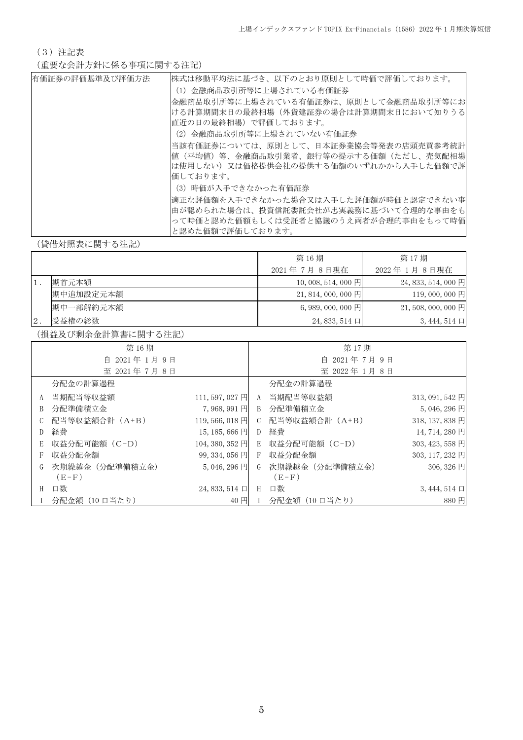(3)注記表

(重要な会計方針に係る事項に関する注記)

| 有価証券の評価基準及び評価方法 | 株式は移動平均法に基づき、以下のとおり原則として時価で評価しております。   |
|-----------------|----------------------------------------|
|                 | (1)金融商品取引所等に上場されている有価証券                |
|                 | 金融商品取引所等に上場されている有価証券は、原則として金融商品取引所等にお  |
|                 | ける計算期間末日の最終相場(外貨建証券の場合は計算期間末日において知りうる  |
|                 | 直近の日の最終相場)で評価しております。                   |
|                 | (2) 金融商品取引所等に上場されていない有価証券              |
|                 | 当該有価証券については、原則として、日本証券業協会等発表の店頭売買参考統計  |
|                 | 値(平均値)等、金融商品取引業者、銀行等の提示する価額(ただし、売気配相場  |
|                 | は使用しない) 又は価格提供会社の提供する価額のいずれかから入手した価額で評 |
|                 | 価しております。                               |
|                 | (3) 時価が入手できなかった有価証券                    |
|                 | 適正な評価額を入手できなかった場合又は入手した評価額が時価と認定できない事  |
|                 | 由が認められた場合は、投資信託委託会社が忠実義務に基づいて合理的な事由をも  |
|                 | って時価と認めた価額もしくは受託者と協議のうえ両者が合理的事由をもって時価  |
|                 | と認めた価額で評価しております。                       |

(貸借対照表に関する注記)

|    |           | 第16期               | 第17期               |
|----|-----------|--------------------|--------------------|
|    |           | 2021年7月8日現在        | 2022 年 1月 8 日現在    |
|    | 期首元本額     | $10,008,514,000$ 円 | $24,833,514,000$ 円 |
|    | 期中追加設定元本額 | $21,814,000,000$ 円 | 119,000,000 円      |
|    | 期中一部解約元本額 | $6,989,000,000$ 円  | $21,508,000,000$ 円 |
| 2. | 受益権の総数    | $24,833,514 \Box$  | $3,444,514 \Box$   |

(損益及び剰余金計算書に関する注記)

|   | 第16期           |                     |                | 第17期           |                  |
|---|----------------|---------------------|----------------|----------------|------------------|
|   | 自 2021年1月9日    |                     | 2021年7月9日<br>自 |                |                  |
|   | 至 2021年7月8日    |                     |                | 至 2022年1月8日    |                  |
|   | 分配金の計算過程       |                     |                | 分配金の計算過程       |                  |
| A | 当期配当等収益額       | 111,597,027円        | A              | 当期配当等収益額       | $313,091,542$ 円  |
| B | 分配準備積立金        | 7,968,991円          | B              | 分配準備積立金        | $5,046,296$ 円    |
|   | 配当等収益額合計(A+B)  | 119,566,018円        | C              | 配当等収益額合計 (A+B) | 318, 137, 838 円  |
| D | 経費             | $15, 185, 666$ 円    | D              | 経費             | 14, 714, 280 円   |
| E | 収益分配可能額 (C-D)  | 104, 380, 352 円     | E              | 収益分配可能額 (C-D)  | 303, 423, 558 円  |
| F | 収益分配金額         | $99,334,056$ P      | F              | 収益分配金額         | 303, 117, 232 円  |
| G | 次期繰越金(分配準備積立金) | $5,046,296$ 円       | G              | 次期繰越金(分配準備積立金) | 306, 326 円       |
|   | $(E-F)$        |                     |                | $(E-F)$        |                  |
| H | 口数             | $24,833,514$ $\Box$ | H              | 口数             | $3,444,514 \Box$ |
|   | 分配金額 (10 口当たり) | 40円                 |                | 分配金額 (10 口当たり) | 880円             |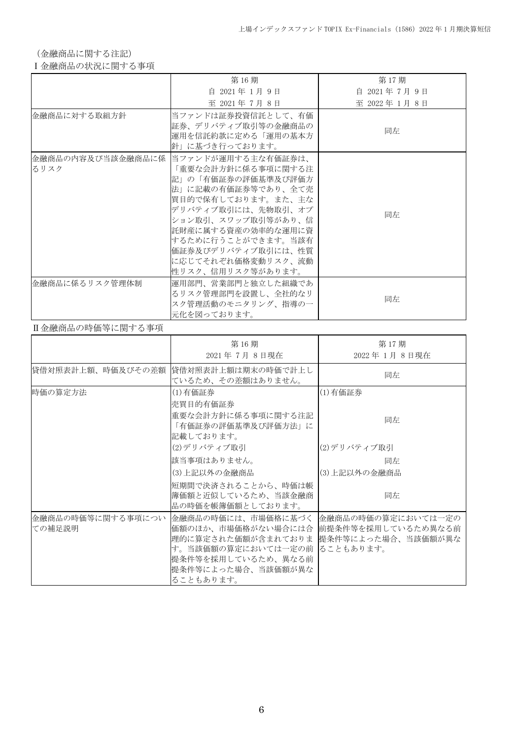(金融商品に関する注記)

### Ⅰ金融商品の状況に関する事項

|                | 第16期                                                                                                                                                                                                                                                                                      | 第17期        |
|----------------|-------------------------------------------------------------------------------------------------------------------------------------------------------------------------------------------------------------------------------------------------------------------------------------------|-------------|
|                | 自 2021年 1月 9日                                                                                                                                                                                                                                                                             | 自 2021年7月9日 |
|                | 至 2021年7月8日                                                                                                                                                                                                                                                                               | 至 2022年1月8日 |
| 金融商品に対する取組方針   | 当ファンドは証券投資信託として、有価 <br>証券、デリバティブ取引等の金融商品の<br>運用を信託約款に定める「運用の基本方<br>針」に基づき行っております。                                                                                                                                                                                                         | 同左          |
| るリスク           | 金融商品の内容及び当該金融商品に係  当ファンドが運用する主な有価証券は、<br>「重要な会計方針に係る事項に関する注<br> 記」の「有価証券の評価基準及び評価方 <br>法」に記載の有価証券等であり、全て売<br> 買目的で保有しております。また、主な<br>デリバティブ取引には、先物取引、オプ<br>ション取引、スワップ取引等があり、信<br>託財産に属する資産の効率的な運用に資<br>するために行うことができます。当該有<br>価証券及びデリバティブ取引には、性質<br>に応じてそれぞれ価格変動リスク、流動<br>性リスク、信用リスク等があります。 | 同左          |
| 金融商品に係るリスク管理体制 | 運用部門、営業部門と独立した組織であ<br>るリスク管理部門を設置し、全社的なリ<br>スク管理活動のモニタリング、指導の一<br>元化を図っております。                                                                                                                                                                                                             | 同左          |

### Ⅱ金融商品の時価等に関する事項

|                              | 第16期<br>2021年7月8日現在                                                                                                                                                                                                 | 第17期<br>2022年1月8日現在 |
|------------------------------|---------------------------------------------------------------------------------------------------------------------------------------------------------------------------------------------------------------------|---------------------|
| 貸借対照表計上額、時価及びその差額            | 貸借対照表計上額は期末の時価で計上し<br>ているため、その差額はありません。                                                                                                                                                                             | 同左                  |
| 時価の算定方法                      | (1)有価証券<br>売買目的有価証券                                                                                                                                                                                                 | (1)有価証券             |
|                              | 重要な会計方針に係る事項に関する注記<br>「有価証券の評価基準及び評価方法」に<br>記載しております。                                                                                                                                                               | 同左                  |
|                              | (2)デリバティブ取引                                                                                                                                                                                                         | (2)デリバティブ取引         |
|                              | 該当事項はありません。                                                                                                                                                                                                         | 同左                  |
|                              | (3)上記以外の金融商品                                                                                                                                                                                                        | (3) 上記以外の金融商品       |
|                              | 短期間で決済されることから、時価は帳<br> 簿価額と近似しているため、当該金融商<br>品の時価を帳簿価額としております。                                                                                                                                                      | 同左                  |
| 金融商品の時価等に関する事項につい <br>ての補足説明 | 金融商品の時価には、市場価格に基づく   金融商品の時価の算定においては一定の<br>価額のほか、市場価格がない場合には合  前提条件等を採用しているため異なる前<br>理的に算定された価額が含まれておりま 提条件等によった場合、当該価額が異な<br>す。当該価額の算定においては一定の前 ることもあります。<br>提条件等を採用しているため、異なる前<br>提条件等によった場合、当該価額が異な<br>ることもあります。 |                     |